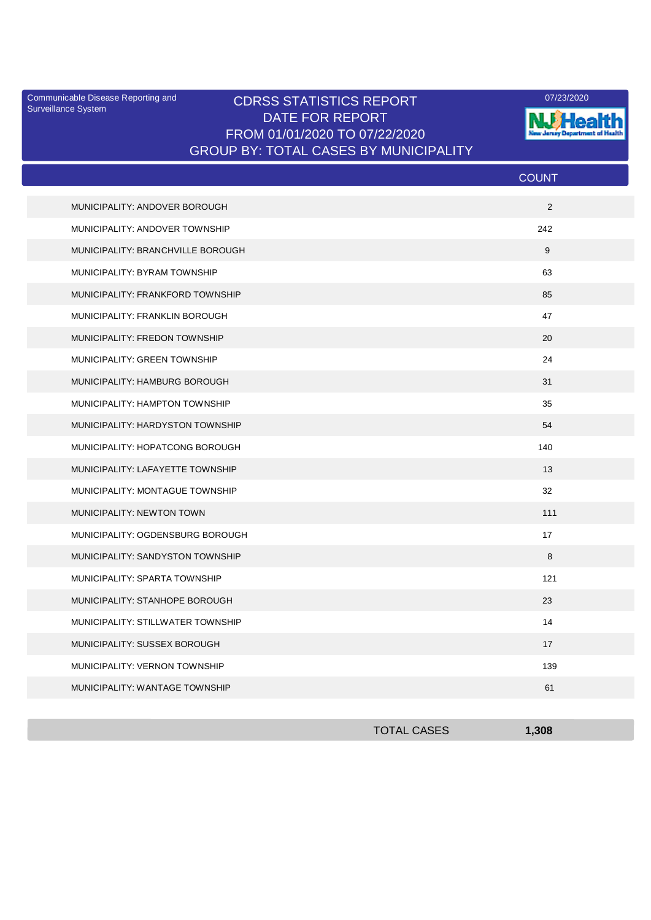Surveillance System

## Communicable Disease Reporting and CDRSS STATISTICS REPORT **COMMUNICAL COMMUNICATION** DATE FOR REPORT FROM 01/01/2020 TO 07/22/2020 GROUP BY: TOTAL CASES BY MUNICIPALITY



|                                   | <b>COUNT</b> |
|-----------------------------------|--------------|
| MUNICIPALITY: ANDOVER BOROUGH     | 2            |
| MUNICIPALITY: ANDOVER TOWNSHIP    | 242          |
| MUNICIPALITY: BRANCHVILLE BOROUGH | 9            |
| MUNICIPALITY: BYRAM TOWNSHIP      | 63           |
| MUNICIPALITY: FRANKFORD TOWNSHIP  | 85           |
| MUNICIPALITY: FRANKLIN BOROUGH    | 47           |
| MUNICIPALITY: FREDON TOWNSHIP     | 20           |
| MUNICIPALITY: GREEN TOWNSHIP      | 24           |
| MUNICIPALITY: HAMBURG BOROUGH     | 31           |
| MUNICIPALITY: HAMPTON TOWNSHIP    | 35           |
| MUNICIPALITY: HARDYSTON TOWNSHIP  | 54           |
| MUNICIPALITY: HOPATCONG BOROUGH   | 140          |
| MUNICIPALITY: LAFAYETTE TOWNSHIP  | 13           |
| MUNICIPALITY: MONTAGUE TOWNSHIP   | 32           |
| <b>MUNICIPALITY: NEWTON TOWN</b>  | 111          |
| MUNICIPALITY: OGDENSBURG BOROUGH  | 17           |
| MUNICIPALITY: SANDYSTON TOWNSHIP  | 8            |
| MUNICIPALITY: SPARTA TOWNSHIP     | 121          |
| MUNICIPALITY: STANHOPE BOROUGH    | 23           |
| MUNICIPALITY: STILLWATER TOWNSHIP | 14           |
| MUNICIPALITY: SUSSEX BOROUGH      | 17           |
| MUNICIPALITY: VERNON TOWNSHIP     | 139          |
| MUNICIPALITY: WANTAGE TOWNSHIP    | 61           |

| <b>TOTAL CASES</b> | 1,308 |
|--------------------|-------|
|                    |       |